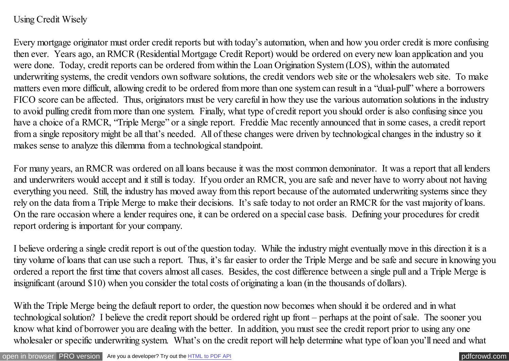## Using Credit Wisely

Every mortgage originator must order credit reports but with today's automation, when and how you order credit is more confusing then ever. Years ago, an RMCR (Residential Mortgage Credit Report) would be ordered on every new loan application and you were done. Today, credit reports can be ordered from within the Loan Origination System (LOS), within the automated underwriting systems, the credit vendors own software solutions, the credit vendors web site or the wholesalers web site. To make matters even more difficult, allowing credit to be ordered from more than one system can result in a "dual-pull" where a borrowers FICO score can be affected. Thus, originators must be very careful in how they use the various automation solutions in the industry to avoid pulling credit from more than one system. Finally, what type of credit report you should order is also confusing since you have a choice of a RMCR, "Triple Merge" or a single report. Freddie Mac recently announced that in some cases, a credit report from a single repository might be all that's needed. All of these changes were driven by technological changes in the industry so it makes sense to analyze this dilemma from a technological standpoint.

For many years, an RMCR was ordered on all loans because it was the most common demoninator. It was a report that all lenders and underwriters would accept and it still is today. If you order an RMCR, you are safe and never have to worry about not having everything you need. Still, the industry has moved away from this report because of the automated underwriting systems since they rely on the data from a Triple Merge to make their decisions. It's safe today to not order an RMCR for the vast majority of loans. On the rare occasion where a lender requires one, it can be ordered on a special case basis. Defining your procedures for credit report ordering is important for your company.

I believe ordering a single credit report is out of the question today. While the industry might eventually move in this direction it is a tiny volume of loans that can use such a report. Thus, it's far easier to order the Triple Merge and be safe and secure in knowing you ordered a report the first time that covers almost all cases. Besides, the cost difference between a single pull and a Triple Merge is insignificant (around \$10) when you consider the total costs of originating a loan (in the thousands of dollars).

With the Triple Merge being the default report to order, the question now becomes when should it be ordered and in what technological solution? I believe the credit report should be ordered right up front – perhaps at the point of sale. The sooner you know what kind of borrower you are dealing with the better. In addition, you must see the credit report prior to using any one wholesaler or specific underwriting system. What's on the credit report will help determine what type of loan you'll need and what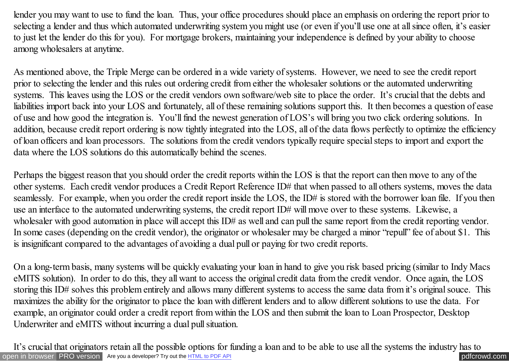lender you may want to use to fund the loan. Thus, your office procedures should place an emphasis on ordering the report prior to selecting a lender and thus which automated underwriting system you might use (or even if you'll use one at all since often, it's easier to just let the lender do this for you). For mortgage brokers, maintaining your independence is defined by your ability to choose among wholesalers at anytime.

As mentioned above, the Triple Merge can be ordered in a wide variety of systems. However, we need to see the credit report prior to selecting the lender and this rules out ordering credit from either the wholesaler solutions or the automated underwriting systems. This leaves using the LOS or the credit vendors own software/web site to place the order. It's crucial that the debts and liabilities import back into your LOS and fortunately, all of these remaining solutions support this. It then becomes a question of ease of use and how good the integration is. You'll find the newest generation of LOS's will bring you two click ordering solutions. In addition, because credit report ordering is now tightly integrated into the LOS, all of the data flows perfectly to optimize the efficiency of loan officers and loan processors. The solutions from the credit vendors typically require special steps to import and export the data where the LOS solutions do this automatically behind the scenes.

Perhaps the biggest reason that you should order the credit reports within the LOS is that the report can then move to any of the other systems. Each credit vendor produces a Credit Report Reference ID# that when passed to all others systems, moves the data seamlessly. For example, when you order the credit report inside the LOS, the ID# is stored with the borrower loan file. If you then use an interface to the automated underwriting systems, the credit report ID# will move over to these systems. Likewise, a wholesaler with good automation in place will accept this ID# as well and can pull the same report from the credit reporting vendor. In some cases (depending on the credit vendor), the originator or wholesaler may be charged a minor "repull" fee of about \$1. This is insignificant compared to the advantages of avoiding a dual pull or paying for two credit reports.

On a long-term basis, many systems will be quickly evaluating your loan in hand to give you risk based pricing (similar to Indy Macs eMITS solution). In order to do this, they all want to access the original credit data from the credit vendor. Once again, the LOS storing this ID# solves this problem entirely and allows many different systems to access the same data from it's original souce. This maximizes the ability for the originator to place the loan with different lenders and to allow different solutions to use the data. For example, an originator could order a credit report from within the LOS and then submit the loan to Loan Prospector, Desktop Underwriter and eMITS without incurring a dual pull situation.

[open in browser](http://pdfcrowd.com/redirect/?url=http%3a%2f%2fscooley.com%2fmom29.htm&id=ma-140812020535-c35a1618) [PRO version](http://pdfcrowd.com/customize/) Are you a developer? Try out th[e HTML to PDF API](http://pdfcrowd.com/html-to-pdf-api/?ref=pdf) performance of the Area and the Area posterior of the Area posterior of the Area posterior of the Area posterior of the Area posterior of the Are It's crucial that originators retain all the possible options for funding a loan and to be able to use all the systems the industry has to